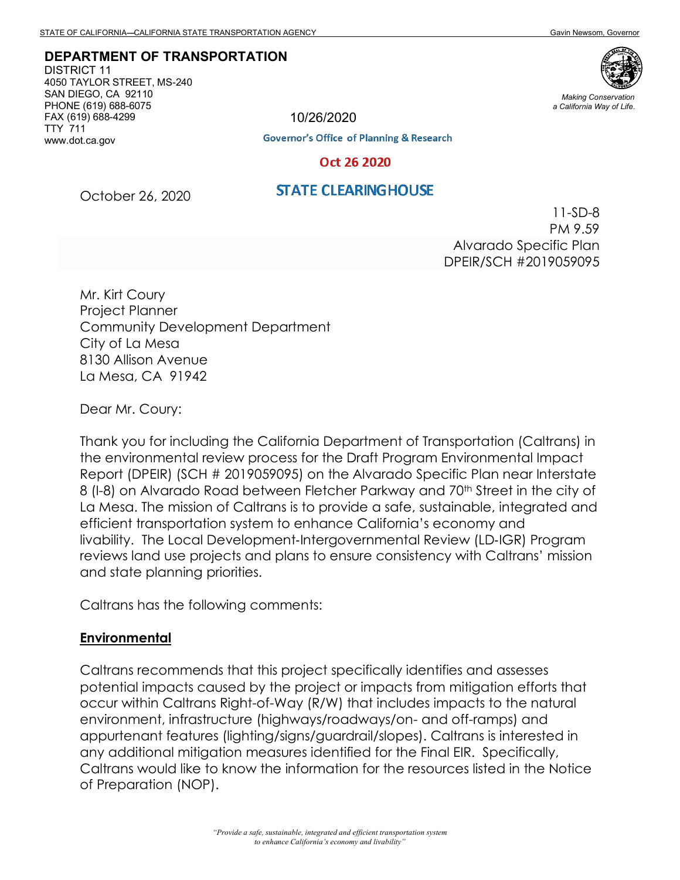**DEPARTMENT OF TRANSPORTATION**

DISTRICT 11 4050 TAYLOR STREET, MS-240 SAN DIEGO, CA 92110 PHONE (619) 688-6075 FAX (619) 688-4299 TTY 711 www.dot.ca.gov

*Making Conservation a California Way of Life.*

10/26/2020

**Governor's Office of Planning & Research** 

#### Oct 26 2020

### **STATE CLEARING HOUSE**

October 26, 2020

11-SD-8 PM 9.59 Alvarado Specific Plan DPEIR/SCH #2019059095

Mr. Kirt Coury Project Planner Community Development Department City of La Mesa 8130 Allison Avenue La Mesa, CA 91942

Dear Mr. Coury:

Thank you for including the California Department of Transportation (Caltrans) in the environmental review process for the Draft Program Environmental Impact Report (DPEIR) (SCH # 2019059095) on the Alvarado Specific Plan near Interstate 8 (I-8) on Alvarado Road between Fletcher Parkway and 70<sup>th</sup> Street in the city of La Mesa. The mission of Caltrans is to provide a safe, sustainable, integrated and efficient transportation system to enhance California's economy and livability. The Local Development‐Intergovernmental Review (LD‐IGR) Program reviews land use projects and plans to ensure consistency with Caltrans' mission and state planning priorities.

Caltrans has the following comments:

#### **Environmental**

Caltrans recommends that this project specifically identifies and assesses potential impacts caused by the project or impacts from mitigation efforts that occur within Caltrans Right-of-Way (R/W) that includes impacts to the natural environment, infrastructure (highways/roadways/on- and off-ramps) and appurtenant features (lighting/signs/guardrail/slopes). Caltrans is interested in any additional mitigation measures identified for the Final EIR. Specifically, Caltrans would like to know the information for the resources listed in the Notice of Preparation (NOP).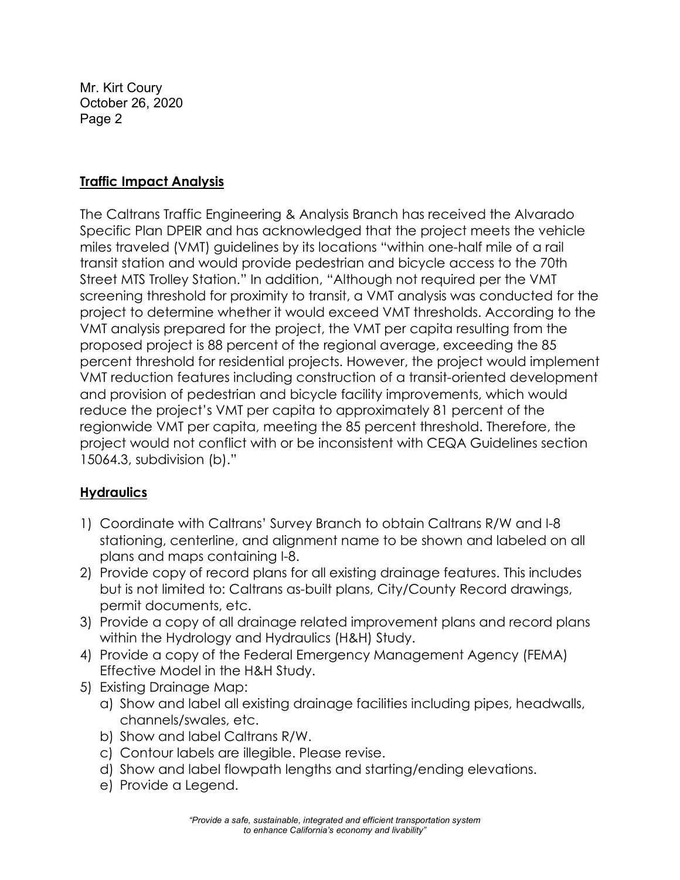Mr. Kirt Coury October 26, 2020 Page 2

## **Traffic Impact Analysis**

The Caltrans Traffic Engineering & Analysis Branch has received the Alvarado Specific Plan DPEIR and has acknowledged that the project meets the vehicle miles traveled (VMT) guidelines by its locations "within one-half mile of a rail transit station and would provide pedestrian and bicycle access to the 70th Street MTS Trolley Station." In addition, "Although not required per the VMT screening threshold for proximity to transit, a VMT analysis was conducted for the project to determine whether it would exceed VMT thresholds. According to the VMT analysis prepared for the project, the VMT per capita resulting from the proposed project is 88 percent of the regional average, exceeding the 85 percent threshold for residential projects. However, the project would implement VMT reduction features including construction of a transit-oriented development and provision of pedestrian and bicycle facility improvements, which would reduce the project's VMT per capita to approximately 81 percent of the regionwide VMT per capita, meeting the 85 percent threshold. Therefore, the project would not conflict with or be inconsistent with CEQA Guidelines section 15064.3, subdivision (b)."

## **Hydraulics**

- 1) Coordinate with Caltrans' Survey Branch to obtain Caltrans R/W and I-8 stationing, centerline, and alignment name to be shown and labeled on all plans and maps containing I-8.
- 2) Provide copy of record plans for all existing drainage features. This includes but is not limited to: Caltrans as-built plans, City/County Record drawings, permit documents, etc.
- 3) Provide a copy of all drainage related improvement plans and record plans within the Hydrology and Hydraulics (H&H) Study.
- 4) Provide a copy of the Federal Emergency Management Agency (FEMA) Effective Model in the H&H Study.
- 5) Existing Drainage Map:
	- a) Show and label all existing drainage facilities including pipes, headwalls, channels/swales, etc.
	- b) Show and label Caltrans R/W.
	- c) Contour labels are illegible. Please revise.
	- d) Show and label flowpath lengths and starting/ending elevations.
	- e) Provide a Legend.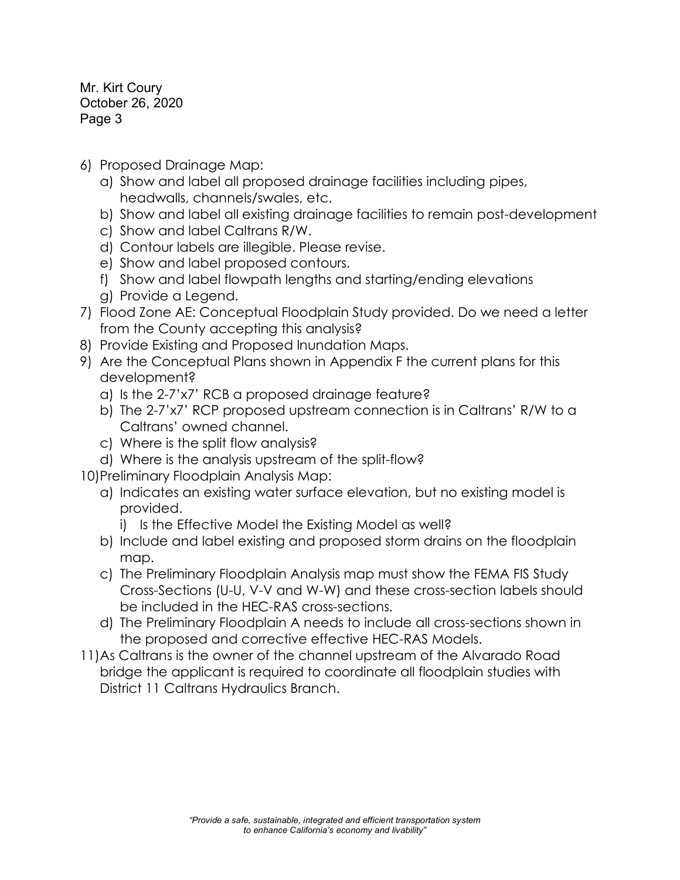Mr. Kirt Coury October 26, 2020 Page 3

- 6) Proposed Drainage Map:
	- a) Show and label all proposed drainage facilities including pipes, headwalls, channels/swales, etc.
	- b) Show and label all existing drainage facilities to remain post-development
	- c) Show and label Caltrans R/W.
	- d) Contour labels are illegible. Please revise.
	- e) Show and label proposed contours.
	- f) Show and label flowpath lengths and starting/ending elevations g) Provide a Legend.
- 7) Flood Zone AE: Conceptual Floodplain Study provided. Do we need a letter from the County accepting this analysis?
- 8) Provide Existing and Proposed Inundation Maps.
- 9) Are the Conceptual Plans shown in Appendix F the current plans for this development?
	- a) Is the 2-7'x7' RCB a proposed drainage feature?
	- b) The 2-7'x7' RCP proposed upstream connection is in Caltrans' R/W to a Caltrans' owned channel.
	- c) Where is the split flow analysis?
	- d) Where is the analysis upstream of the split-flow?
- 10)Preliminary Floodplain Analysis Map:
	- a) Indicates an existing water surface elevation, but no existing model is provided.
		- i) Is the Effective Model the Existing Model as well?
	- b) Include and label existing and proposed storm drains on the floodplain map.
	- c) The Preliminary Floodplain Analysis map must show the FEMA FIS Study Cross-Sections (U-U, V-V and W-W) and these cross-section labels should be included in the HEC-RAS cross-sections.
	- d) The Preliminary Floodplain A needs to include all cross-sections shown in the proposed and corrective effective HEC-RAS Models.
- 11)As Caltrans is the owner of the channel upstream of the Alvarado Road bridge the applicant is required to coordinate all floodplain studies with District 11 Caltrans Hydraulics Branch.